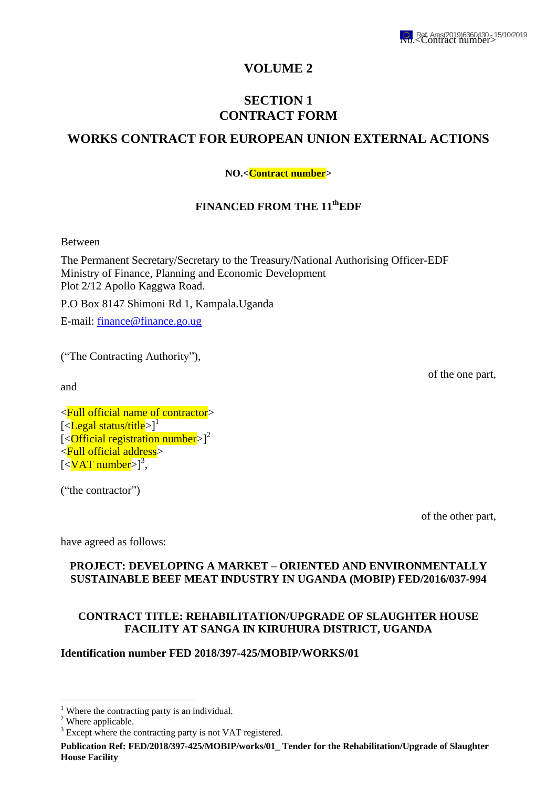

## **VOLUME 2**

# **SECTION 1 CONTRACT FORM**

# **WORKS CONTRACT FOR EUROPEAN UNION EXTERNAL ACTIONS**

### **NO.<Contract number>**

### **FINANCED FROM THE 11thEDF**

Between

The Permanent Secretary/Secretary to the Treasury/National Authorising Officer-EDF Ministry of Finance, Planning and Economic Development Plot 2/12 Apollo Kaggwa Road.

P.O Box 8147 Shimoni Rd 1, Kampala.Uganda

E-mail: [finance@finance.go.ug](mailto:finance@finance.go.ug)

("The Contracting Authority"),

and

of the one part,

<Full official name of contractor> [<**Legal status/title**>]<sup>1</sup>  $\left[ \langle \text{Official registration number} \rangle \right]^2$ <Full official address>  $\left[ \langle \nabla \times \mathbf{I} \rangle \mathbf{I} \rangle \mathbf{I} \rangle$ 

("the contractor")

of the other part,

have agreed as follows:

#### **PROJECT: DEVELOPING A MARKET – ORIENTED AND ENVIRONMENTALLY SUSTAINABLE BEEF MEAT INDUSTRY IN UGANDA (MOBIP) FED/2016/037-994**

### **CONTRACT TITLE: REHABILITATION/UPGRADE OF SLAUGHTER HOUSE FACILITY AT SANGA IN KIRUHURA DISTRICT, UGANDA**

#### **Identification number FED 2018/397-425/MOBIP/WORKS/01**

1

<sup>&</sup>lt;sup>1</sup> Where the contracting party is an individual.

<sup>&</sup>lt;sup>2</sup> Where applicable.

<sup>&</sup>lt;sup>3</sup> Except where the contracting party is not VAT registered.

**Publication Ref: FED/2018/397-425/MOBIP/works/01\_ Tender for the Rehabilitation/Upgrade of Slaughter House Facility**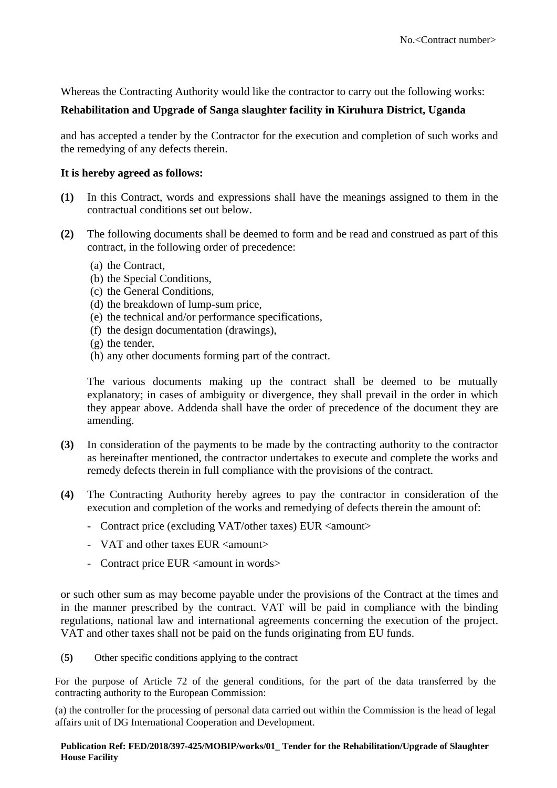Whereas the Contracting Authority would like the contractor to carry out the following works:

### **Rehabilitation and Upgrade of Sanga slaughter facility in Kiruhura District, Uganda**

and has accepted a tender by the Contractor for the execution and completion of such works and the remedying of any defects therein.

#### **It is hereby agreed as follows:**

- **(1)** In this Contract, words and expressions shall have the meanings assigned to them in the contractual conditions set out below.
- **(2)** The following documents shall be deemed to form and be read and construed as part of this contract, in the following order of precedence:
	- (a) the Contract,
	- (b) the Special Conditions,
	- (c) the General Conditions,
	- (d) the breakdown of lump-sum price,
	- (e) the technical and/or performance specifications,
	- (f) the design documentation (drawings),
	- (g) the tender,
	- (h) any other documents forming part of the contract.

The various documents making up the contract shall be deemed to be mutually explanatory; in cases of ambiguity or divergence, they shall prevail in the order in which they appear above. Addenda shall have the order of precedence of the document they are amending.

- **(3)** In consideration of the payments to be made by the contracting authority to the contractor as hereinafter mentioned, the contractor undertakes to execute and complete the works and remedy defects therein in full compliance with the provisions of the contract.
- **(4)** The Contracting Authority hereby agrees to pay the contractor in consideration of the execution and completion of the works and remedying of defects therein the amount of:
	- Contract price (excluding VAT/other taxes) EUR <amount>
	- VAT and other taxes EUR <amount>
	- Contract price EUR <amount in words>

or such other sum as may become payable under the provisions of the Contract at the times and in the manner prescribed by the contract. VAT will be paid in compliance with the binding regulations, national law and international agreements concerning the execution of the project. VAT and other taxes shall not be paid on the funds originating from EU funds.

(**5)** Other specific conditions applying to the contract

For the purpose of Article 72 of the general conditions, for the part of the data transferred by the contracting authority to the European Commission:

(a) the controller for the processing of personal data carried out within the Commission is the head of legal affairs unit of DG International Cooperation and Development.

#### **Publication Ref: FED/2018/397-425/MOBIP/works/01\_ Tender for the Rehabilitation/Upgrade of Slaughter House Facility**